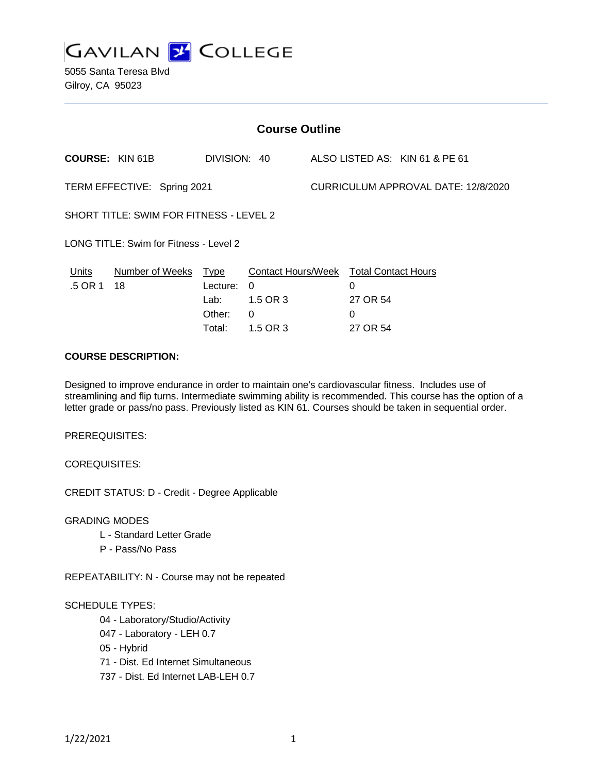

5055 Santa Teresa Blvd Gilroy, CA 95023

| <b>Course Outline</b>                   |                            |                      |          |                                     |                                             |                                |
|-----------------------------------------|----------------------------|----------------------|----------|-------------------------------------|---------------------------------------------|--------------------------------|
| <b>COURSE: KIN 61B</b>                  |                            | DIVISION: 40         |          |                                     |                                             | ALSO LISTED AS: KIN 61 & PE 61 |
| TERM EFFECTIVE: Spring 2021             |                            |                      |          | CURRICULUM APPROVAL DATE: 12/8/2020 |                                             |                                |
| SHORT TITLE: SWIM FOR FITNESS - LEVEL 2 |                            |                      |          |                                     |                                             |                                |
| LONG TITLE: Swim for Fitness - Level 2  |                            |                      |          |                                     |                                             |                                |
| Units<br>.5 OR 1                        | Number of Weeks Type<br>18 | Lecture:<br>$\Omega$ |          |                                     | Contact Hours/Week Total Contact Hours<br>0 |                                |
|                                         |                            | Lab:                 | 1.5 OR 3 |                                     | 27 OR 54                                    |                                |
|                                         |                            | Other:               | 0        |                                     | 0                                           |                                |
|                                         |                            | Total:               | 1.5 OR 3 |                                     | 27 OR 54                                    |                                |

### **COURSE DESCRIPTION:**

Designed to improve endurance in order to maintain one's cardiovascular fitness. Includes use of streamlining and flip turns. Intermediate swimming ability is recommended. This course has the option of a letter grade or pass/no pass. Previously listed as KIN 61. Courses should be taken in sequential order.

PREREQUISITES:

COREQUISITES:

CREDIT STATUS: D - Credit - Degree Applicable

GRADING MODES

- L Standard Letter Grade
- P Pass/No Pass

REPEATABILITY: N - Course may not be repeated

#### SCHEDULE TYPES:

04 - Laboratory/Studio/Activity

- 047 Laboratory LEH 0.7
- 05 Hybrid
- 71 Dist. Ed Internet Simultaneous
- 737 Dist. Ed Internet LAB-LEH 0.7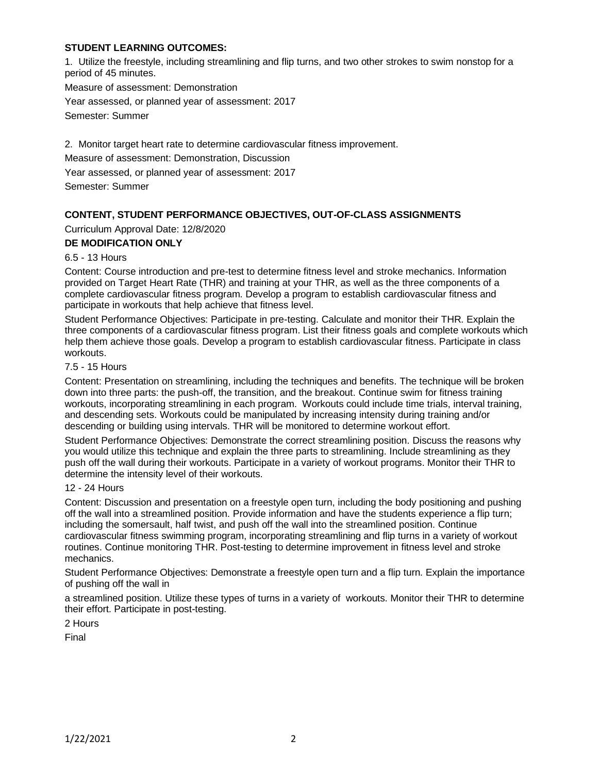### **STUDENT LEARNING OUTCOMES:**

1. Utilize the freestyle, including streamlining and flip turns, and two other strokes to swim nonstop for a period of 45 minutes.

Measure of assessment: Demonstration Year assessed, or planned year of assessment: 2017

Semester: Summer

2. Monitor target heart rate to determine cardiovascular fitness improvement.

Measure of assessment: Demonstration, Discussion

Year assessed, or planned year of assessment: 2017

Semester: Summer

# **CONTENT, STUDENT PERFORMANCE OBJECTIVES, OUT-OF-CLASS ASSIGNMENTS**

Curriculum Approval Date: 12/8/2020

### **DE MODIFICATION ONLY**

### 6.5 - 13 Hours

Content: Course introduction and pre-test to determine fitness level and stroke mechanics. Information provided on Target Heart Rate (THR) and training at your THR, as well as the three components of a complete cardiovascular fitness program. Develop a program to establish cardiovascular fitness and participate in workouts that help achieve that fitness level.

Student Performance Objectives: Participate in pre-testing. Calculate and monitor their THR. Explain the three components of a cardiovascular fitness program. List their fitness goals and complete workouts which help them achieve those goals. Develop a program to establish cardiovascular fitness. Participate in class workouts.

### 7.5 - 15 Hours

Content: Presentation on streamlining, including the techniques and benefits. The technique will be broken down into three parts: the push-off, the transition, and the breakout. Continue swim for fitness training workouts, incorporating streamlining in each program. Workouts could include time trials, interval training, and descending sets. Workouts could be manipulated by increasing intensity during training and/or descending or building using intervals. THR will be monitored to determine workout effort.

Student Performance Objectives: Demonstrate the correct streamlining position. Discuss the reasons why you would utilize this technique and explain the three parts to streamlining. Include streamlining as they push off the wall during their workouts. Participate in a variety of workout programs. Monitor their THR to determine the intensity level of their workouts.

### 12 - 24 Hours

Content: Discussion and presentation on a freestyle open turn, including the body positioning and pushing off the wall into a streamlined position. Provide information and have the students experience a flip turn; including the somersault, half twist, and push off the wall into the streamlined position. Continue cardiovascular fitness swimming program, incorporating streamlining and flip turns in a variety of workout routines. Continue monitoring THR. Post-testing to determine improvement in fitness level and stroke mechanics.

Student Performance Objectives: Demonstrate a freestyle open turn and a flip turn. Explain the importance of pushing off the wall in

a streamlined position. Utilize these types of turns in a variety of workouts. Monitor their THR to determine their effort. Participate in post-testing.

2 Hours

Final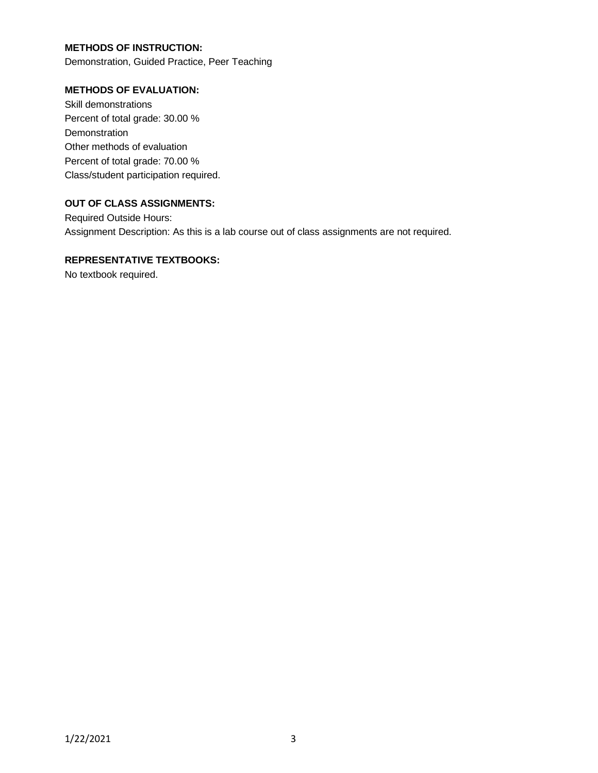### **METHODS OF INSTRUCTION:**

Demonstration, Guided Practice, Peer Teaching

#### **METHODS OF EVALUATION:**

Skill demonstrations Percent of total grade: 30.00 % Demonstration Other methods of evaluation Percent of total grade: 70.00 % Class/student participation required.

### **OUT OF CLASS ASSIGNMENTS:**

Required Outside Hours: Assignment Description: As this is a lab course out of class assignments are not required.

## **REPRESENTATIVE TEXTBOOKS:**

No textbook required.